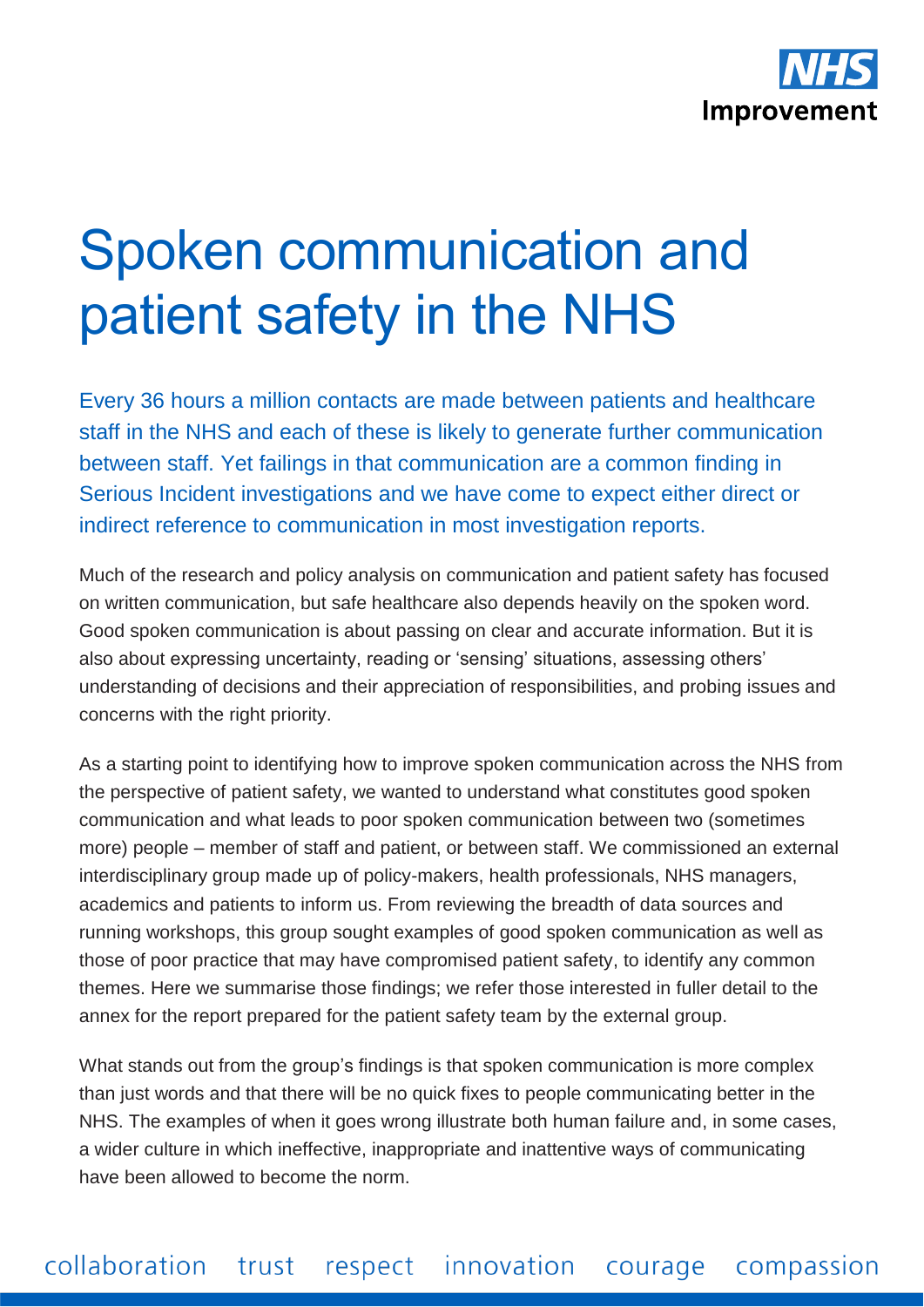

## Spoken communication and patient safety in the NHS

Every 36 hours a million contacts are made between patients and healthcare staff in the NHS and each of these is likely to generate further communication between staff. Yet failings in that communication are a common finding in Serious Incident investigations and we have come to expect either direct or indirect reference to communication in most investigation reports.

Much of the research and policy analysis on communication and patient safety has focused on written communication, but safe healthcare also depends heavily on the spoken word. Good spoken communication is about passing on clear and accurate information. But it is also about expressing uncertainty, reading or 'sensing' situations, assessing others' understanding of decisions and their appreciation of responsibilities, and probing issues and concerns with the right priority.

As a starting point to identifying how to improve spoken communication across the NHS from the perspective of patient safety, we wanted to understand what constitutes good spoken communication and what leads to poor spoken communication between two (sometimes more) people – member of staff and patient, or between staff. We commissioned an external interdisciplinary group made up of policy-makers, health professionals, NHS managers, academics and patients to inform us. From reviewing the breadth of data sources and running workshops, this group sought examples of good spoken communication as well as those of poor practice that may have compromised patient safety, to identify any common themes. Here we summarise those findings; we refer those interested in fuller detail to the annex for the report prepared for the patient safety team by the external group.

What stands out from the group's findings is that spoken communication is more complex than just words and that there will be no quick fixes to people communicating better in the NHS. The examples of when it goes wrong illustrate both human failure and, in some cases, a wider culture in which ineffective, inappropriate and inattentive ways of communicating have been allowed to become the norm.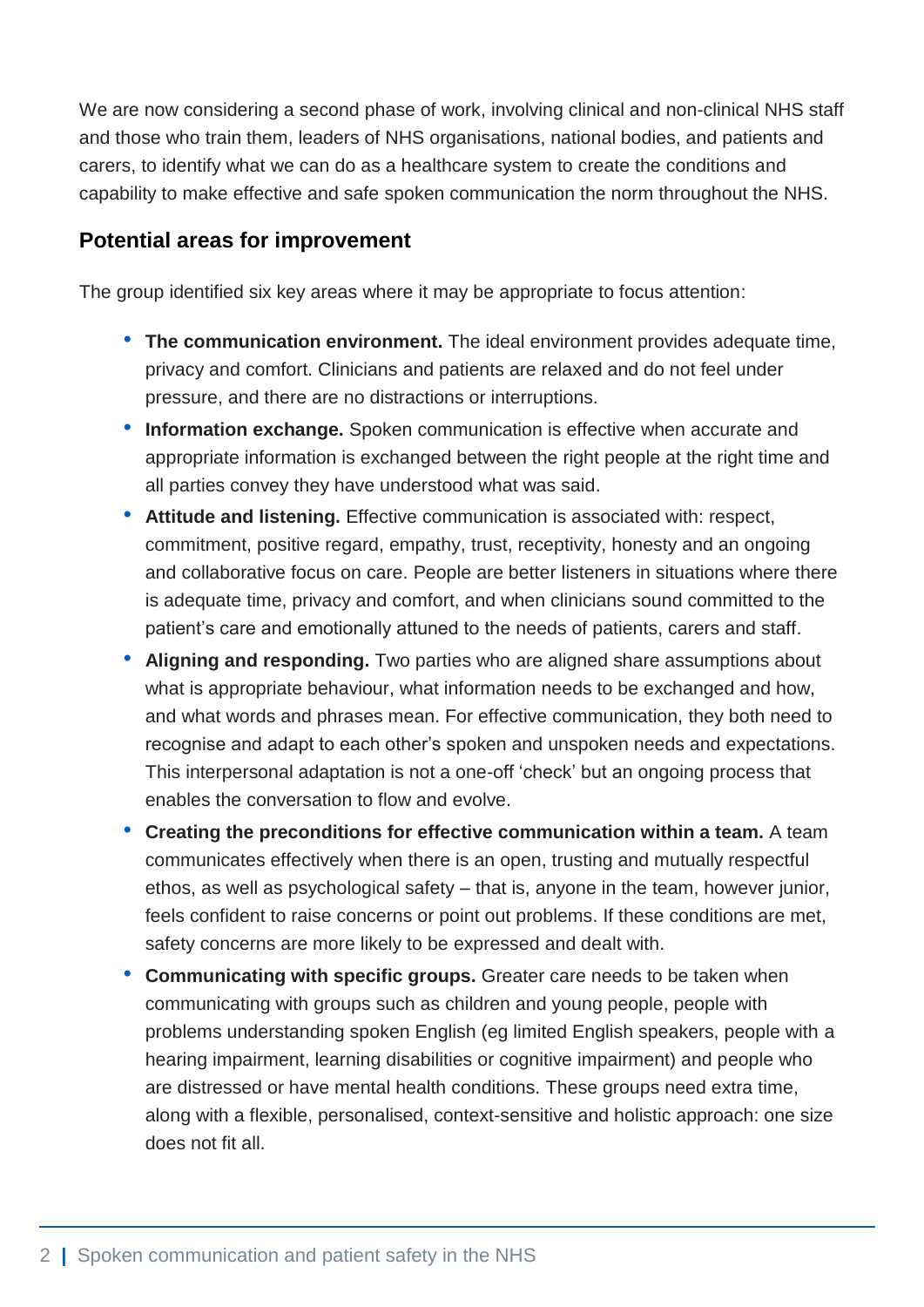We are now considering a second phase of work, involving clinical and non-clinical NHS staff and those who train them, leaders of NHS organisations, national bodies, and patients and carers, to identify what we can do as a healthcare system to create the conditions and capability to make effective and safe spoken communication the norm throughout the NHS.

## **Potential areas for improvement**

The group identified six key areas where it may be appropriate to focus attention:

- **The communication environment.** The ideal environment provides adequate time, privacy and comfort. Clinicians and patients are relaxed and do not feel under pressure, and there are no distractions or interruptions.
- **Information exchange.** Spoken communication is effective when accurate and appropriate information is exchanged between the right people at the right time and all parties convey they have understood what was said.
- **Attitude and listening.** Effective communication is associated with: respect, commitment, positive regard, empathy, trust, receptivity, honesty and an ongoing and collaborative focus on care. People are better listeners in situations where there is adequate time, privacy and comfort, and when clinicians sound committed to the patient's care and emotionally attuned to the needs of patients, carers and staff.
- **Aligning and responding.** Two parties who are aligned share assumptions about what is appropriate behaviour, what information needs to be exchanged and how, and what words and phrases mean. For effective communication, they both need to recognise and adapt to each other's spoken and unspoken needs and expectations. This interpersonal adaptation is not a one-off 'check' but an ongoing process that enables the conversation to flow and evolve.
- **Creating the preconditions for effective communication within a team.** A team communicates effectively when there is an open, trusting and mutually respectful ethos, as well as psychological safety – that is, anyone in the team, however junior, feels confident to raise concerns or point out problems. If these conditions are met, safety concerns are more likely to be expressed and dealt with.
- **Communicating with specific groups.** Greater care needs to be taken when communicating with groups such as children and young people, people with problems understanding spoken English (eg limited English speakers, people with a hearing impairment, learning disabilities or cognitive impairment) and people who are distressed or have mental health conditions. These groups need extra time, along with a flexible, personalised, context-sensitive and holistic approach: one size does not fit all.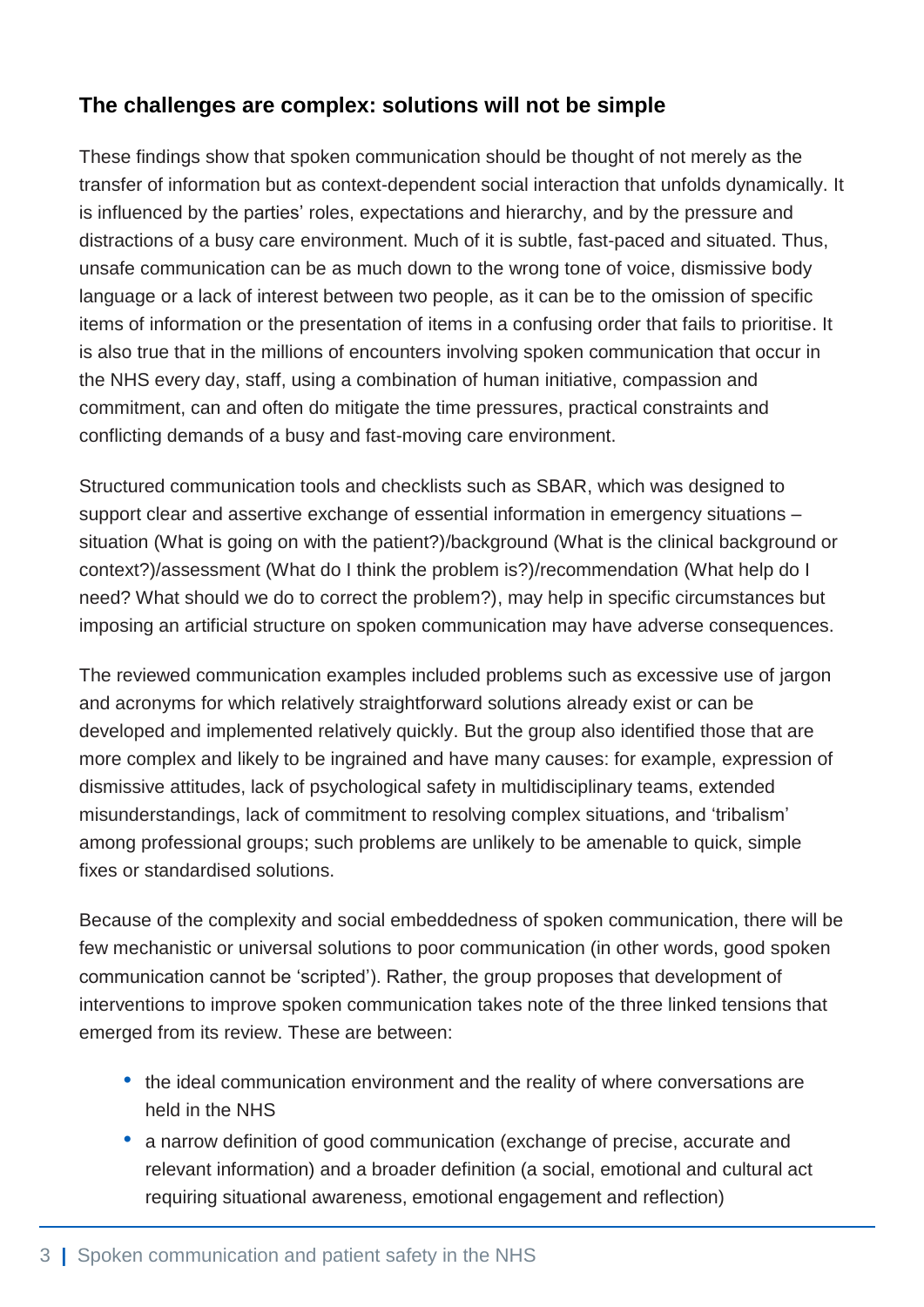## **The challenges are complex: solutions will not be simple**

These findings show that spoken communication should be thought of not merely as the transfer of information but as context-dependent social interaction that unfolds dynamically. It is influenced by the parties' roles, expectations and hierarchy, and by the pressure and distractions of a busy care environment. Much of it is subtle, fast-paced and situated. Thus, unsafe communication can be as much down to the wrong tone of voice, dismissive body language or a lack of interest between two people, as it can be to the omission of specific items of information or the presentation of items in a confusing order that fails to prioritise. It is also true that in the millions of encounters involving spoken communication that occur in the NHS every day, staff, using a combination of human initiative, compassion and commitment, can and often do mitigate the time pressures, practical constraints and conflicting demands of a busy and fast-moving care environment.

Structured communication tools and checklists such as SBAR, which was designed to support clear and assertive exchange of essential information in emergency situations – situation (What is going on with the patient?)/background (What is the clinical background or context?)/assessment (What do I think the problem is?)/recommendation (What help do I need? What should we do to correct the problem?), may help in specific circumstances but imposing an artificial structure on spoken communication may have adverse consequences.

The reviewed communication examples included problems such as excessive use of jargon and acronyms for which relatively straightforward solutions already exist or can be developed and implemented relatively quickly. But the group also identified those that are more complex and likely to be ingrained and have many causes: for example, expression of dismissive attitudes, lack of psychological safety in multidisciplinary teams, extended misunderstandings, lack of commitment to resolving complex situations, and 'tribalism' among professional groups; such problems are unlikely to be amenable to quick, simple fixes or standardised solutions.

Because of the complexity and social embeddedness of spoken communication, there will be few mechanistic or universal solutions to poor communication (in other words, good spoken communication cannot be 'scripted'). Rather, the group proposes that development of interventions to improve spoken communication takes note of the three linked tensions that emerged from its review. These are between:

- the ideal communication environment and the reality of where conversations are held in the NHS
- a narrow definition of good communication (exchange of precise, accurate and relevant information) and a broader definition (a social, emotional and cultural act requiring situational awareness, emotional engagement and reflection)